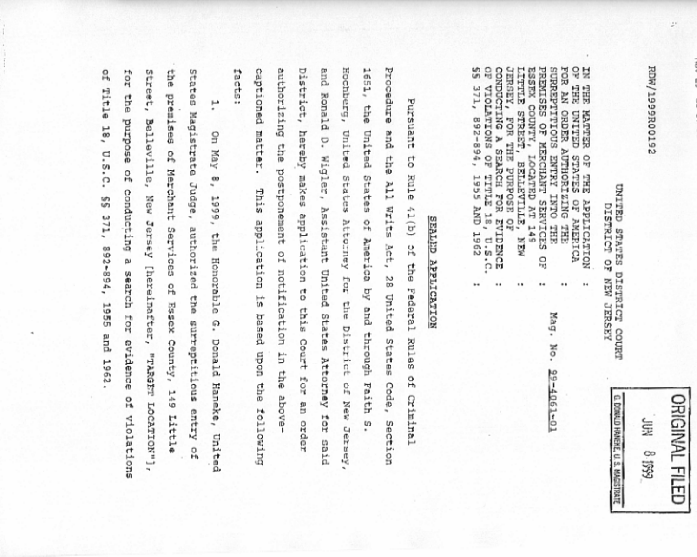EDM/1399R001532

÷.

ORIGINAL FILED Ş 6561 8

¢, DONNLO HANERE, U. S. MAGISTRATE

UNITED STATES DISTRICT COURT DISTRICT OF **NEW JERSEY** 

 $\mathbb{S}$ g N, un<br>Un CONDUCTING A SEARCH FOR TERSEY, **STILLTI** ESSEX COUNTY, PREMISES OF MERCHANT SERVICES SURREPTITIOUS ENTRY INTO FOR AN ORDER AUTHORIZING  $371,$ EHE **SHE VIOLATIONS OF CELLINO**<br>2021-LEN STREET, 892-894, FOR THE PURPOSE OF THE<br>STATES g LOCATED AT 149 BELLEVILLE, **1955 AND** TITLE 18, U.S.C. **OF AMERICA NOILYJITIGY** ą EVIDENCE THE TH<sub>T</sub> **1962** MEN. ă ٠. .. ..  $\ddot{\phantom{a}}$ ..  $^{14}$ 

> Mag. No. 99-4061-01

SEALED APPLICATION

District, and  $\mathbf{I}^{-1}$ Procedure captioned purzriounne Hochberg, facts: ES3 Ronald Pursuant the and hereby matter. United United D. Wigler, Assistant the 5 the postponement makes application to Rule States States A11 This  $\{1\left( b\right)$ **Write** application Attorney of America by Act, u, ă the Federal notification United for 28 57 United 합 this Court and through States Attorney based District Rules States uodn in the  $rac{1}{2}$ o, 읶 Sh8 Code, Faith above-Criminal New an order following tor m Section Jersey said

\$ g for Street, States Title 18, premises of Merchant **She** ۳ Magistrate Belleville, asodrnd  $\overline{a}$ Уау  $U.S.C.$ of  $\tilde{\phantom{a}}^{\circ}$ Judge, conducting 1899, New 55 371, Jersey Services of authorized the surreptitious entry the 892-894, pυ Honorable [hereinafter, search 1955 and 1962 Essex County, for 0, evidence Denald **TRARGET** Haneke, 149 o<br>H LOCATION" Little violations United o,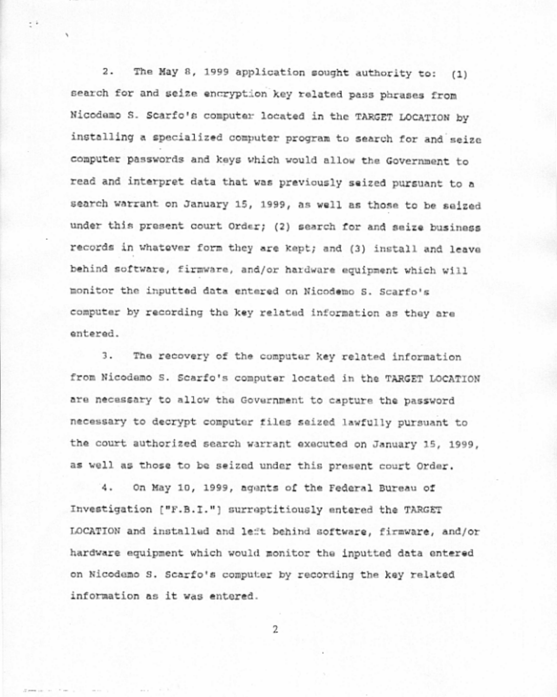The May 8, 1999 application sought authority to: (1)  $2.$ search for and seize encryption key related pass phrases from Nicodamo S. Scarfo's computer located in the TARGET LOCATION by installing a specialized computer program to search for and seize computer passwords and keys which would allow the Government to read and interpret data that was previously seized pursuant to a search warrant on January 15, 1999, as well as those to be seized under this present court Order; (2) search for and seize business records in whatever form they are kept; and (3) install and leave behind software, firmware, and/or hardware equipment which will monitor the inputted data entered on Nicodemo S. Scarfo's computer by recording the key related information as they are entered.

 $\cdot$  :

The recovery of the computer key related information 3. from Nicodamo S. Scarfo's computer located in the TARGET LOCATION are necessary to allow the Government to capture the password necessary to decrypt computer files seized lawfully pursuant to the court authorized search warrant executed on January 15, 1999, as well as those to be seized under this present court Order.

4. On May 10, 1999, agents of the Federal Bureau of Investigation ["F.B.I."] surreptitiously entered the TARGET LOCATION and installed and left behind software, firmware, and/or hardware equipment which would monitor the inputted data entered on Nicodemo S. Scarfo's computer by recording the key related information as it was entered.

 $\overline{2}$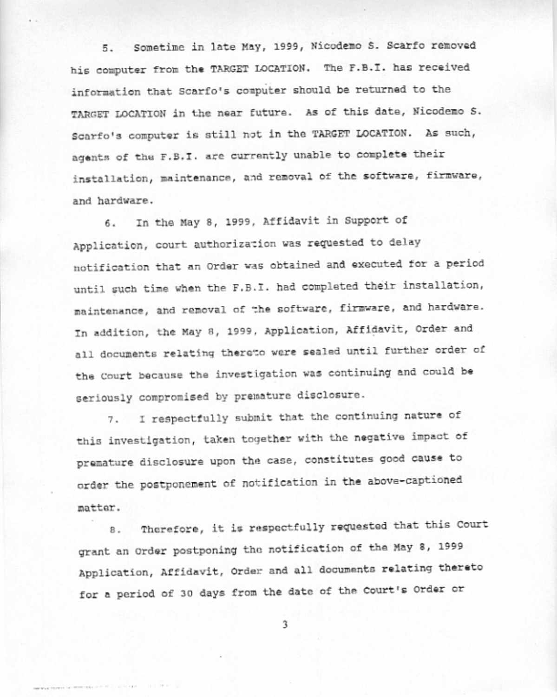Sometime in late May, 1999, Nicodemo S. Scarfo removed 5. his computer from the TARGET LOCATION. The F.B.I. has received information that Scarfo's computer should be returned to the TARGET LOCATION in the near future. As of this date, Nicodemo S. Scarfo's computer is still not in the TARGET LOCATION. As such, agents of the F.B.I. are currently unable to complete their installation, maintenance, and removal of the software, firmware, and hardware.

6. In the May 8, 1999, Affidavit in Support of Application, court authorization was requested to delay notification that an Order was obtained and executed for a period until such time when the F.B.I. had completed their installation, maintenance, and removal of the software, firmware, and hardware. In addition, the May 8, 1999, Application, Affidavit, Order and all documents relating thereto were sealed until further order of the Court because the investigation was continuing and could be seriously compromised by premature disclosure.

7. I respectfully submit that the continuing nature of this investigation, taken together with the negative impact of premature disclosure upon the case, constitutes good cause to order the postponement of notification in the above-captioned matter.

Therefore, it is respectfully requested that this Court 8. grant an Order postponing the notification of the May 8, 1999 Application, Affidavit, Order and all documents relating thereto for a period of 30 days from the date of the Court's Order or

3